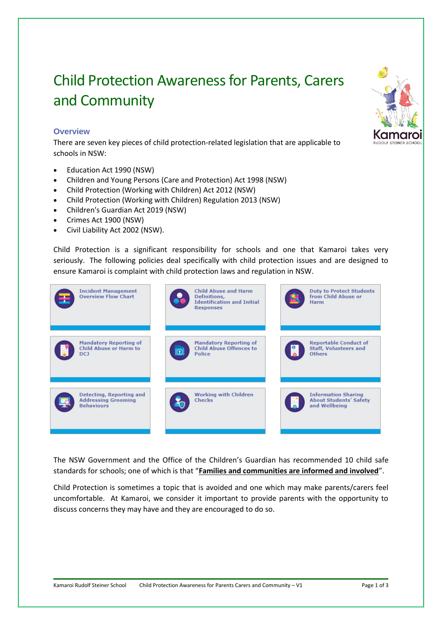# Child Protection Awareness for Parents, Carers and Community

## **Overview**

There are seven key pieces of child protection-related legislation that are applicable to schools in NSW:

- Education Act 1990 (NSW)
- Children and Young Persons (Care and Protection) Act 1998 (NSW)
- Child Protection (Working with Children) Act 2012 (NSW)
- Child Protection (Working with Children) Regulation 2013 (NSW)
- Children's Guardian Act 2019 (NSW)
- Crimes Act 1900 (NSW)
- Civil Liability Act 2002 (NSW).

Child Protection is a significant responsibility for schools and one that Kamaroi takes very seriously. The following policies deal specifically with child protection issues and are designed to ensure Kamaroi is complaint with child protection laws and regulation in NSW.



The NSW Government and the Office of the Children's Guardian has recommended 10 child safe standards for schools; one of which is that "**Families and communities are informed and involved**".

Child Protection is sometimes a topic that is avoided and one which may make parents/carers feel uncomfortable. At Kamaroi, we consider it important to provide parents with the opportunity to discuss concerns they may have and they are encouraged to do so.

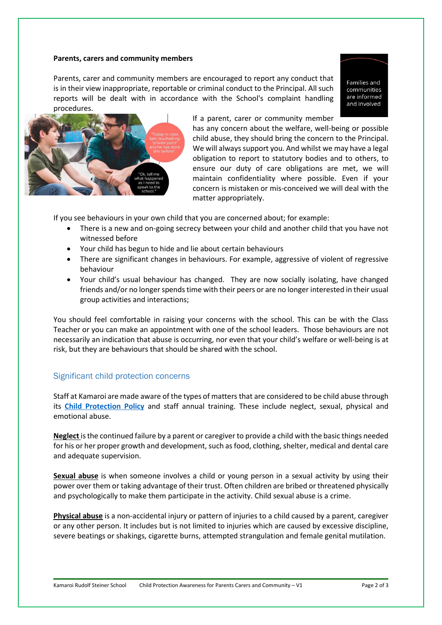#### **Parents, carers and community members**

Parents, carer and community members are encouraged to report any conduct that is in their view inappropriate, reportable or criminal conduct to the Principal. All such reports will be dealt with in accordance with the School's complaint handling procedures.

Families and communities are informed and involved



#### If a parent, carer or community member

has any concern about the welfare, well-being or possible child abuse, they should bring the concern to the Principal. We will always support you. And whilst we may have a legal obligation to report to statutory bodies and to others, to ensure our duty of care obligations are met, we will maintain confidentiality where possible. Even if your concern is mistaken or mis-conceived we will deal with the matter appropriately.

If you see behaviours in your own child that you are concerned about; for example:

- There is a new and on-going secrecy between your child and another child that you have not witnessed before
- Your child has begun to hide and lie about certain behaviours
- There are significant changes in behaviours. For example, aggressive of violent of regressive behaviour
- Your child's usual behaviour has changed. They are now socially isolating, have changed friends and/or no longer spends time with their peers or are no longer interested in their usual group activities and interactions;

You should feel comfortable in raising your concerns with the school. This can be with the Class Teacher or you can make an appointment with one of the school leaders. Those behaviours are not necessarily an indication that abuse is occurring, nor even that your child's welfare or well-being is at risk, but they are behaviours that should be shared with the school.

### Significant child protection concerns

Staff at Kamaroi are made aware of the types of matters that are considered to be child abuse through its **[Child Protection Policy](https://www.kamaroi.nsw.edu.au/documents/64/Child_Protection_Policy_Website.pdf)** and staff annual training. These include neglect, sexual, physical and emotional abuse.

**Neglect** is the continued failure by a parent or caregiver to provide a child with the basic things needed for his or her proper growth and development, such as food, clothing, shelter, medical and dental care and adequate supervision.

**Sexual abuse** is when someone involves a child or young person in a sexual activity by using their power over them or taking advantage of their trust. Often children are bribed or threatened physically and psychologically to make them participate in the activity. Child sexual abuse is a crime.

**Physical abuse** is a non-accidental injury or pattern of injuries to a child caused by a parent, caregiver or any other person. It includes but is not limited to injuries which are caused by excessive discipline, severe beatings or shakings, cigarette burns, attempted strangulation and female genital mutilation.